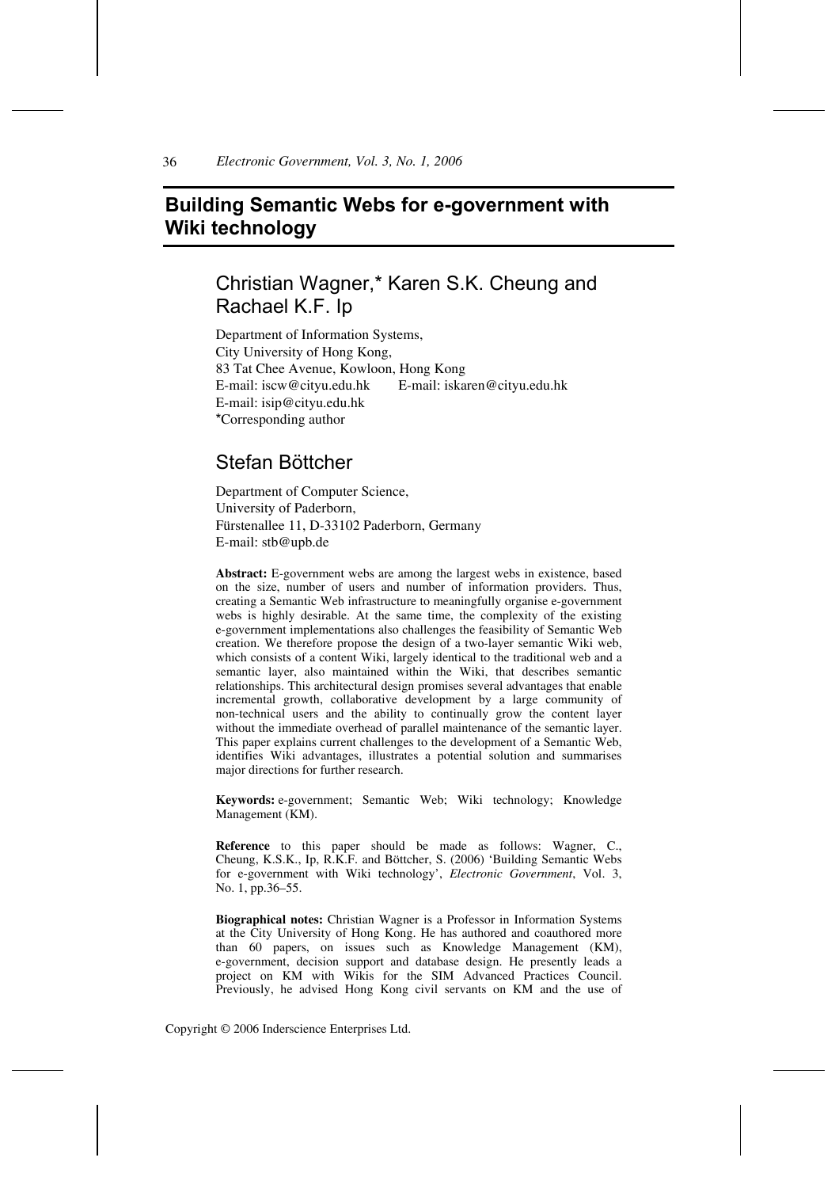# Christian Wagner,\* Karen S.K. Cheung and Rachael K.F. Ip

Department of Information Systems, City University of Hong Kong, 83 Tat Chee Avenue, Kowloon, Hong Kong E-mail: iscw@cityu.edu.hk E-mail: iskaren@cityu.edu.hk E-mail: isip@cityu.edu.hk \*Corresponding author

# Stefan Böttcher

Department of Computer Science, University of Paderborn, Fürstenallee 11, D-33102 Paderborn, Germany E-mail: stb@upb.de

**Abstract:** E-government webs are among the largest webs in existence, based on the size, number of users and number of information providers. Thus, creating a Semantic Web infrastructure to meaningfully organise e-government webs is highly desirable. At the same time, the complexity of the existing e-government implementations also challenges the feasibility of Semantic Web creation. We therefore propose the design of a two-layer semantic Wiki web, which consists of a content Wiki, largely identical to the traditional web and a semantic layer, also maintained within the Wiki, that describes semantic relationships. This architectural design promises several advantages that enable incremental growth, collaborative development by a large community of non-technical users and the ability to continually grow the content layer without the immediate overhead of parallel maintenance of the semantic layer. This paper explains current challenges to the development of a Semantic Web, identifies Wiki advantages, illustrates a potential solution and summarises major directions for further research.

**Keywords:** e-government; Semantic Web; Wiki technology; Knowledge Management (KM).

**Reference** to this paper should be made as follows: Wagner, C., Cheung, K.S.K., Ip, R.K.F. and Böttcher, S. (2006) 'Building Semantic Webs for e-government with Wiki technology', *Electronic Government*, Vol. 3, No. 1, pp.36–55.

**Biographical notes:** Christian Wagner is a Professor in Information Systems at the City University of Hong Kong. He has authored and coauthored more than 60 papers, on issues such as Knowledge Management (KM), e-government, decision support and database design. He presently leads a project on KM with Wikis for the SIM Advanced Practices Council. Previously, he advised Hong Kong civil servants on KM and the use of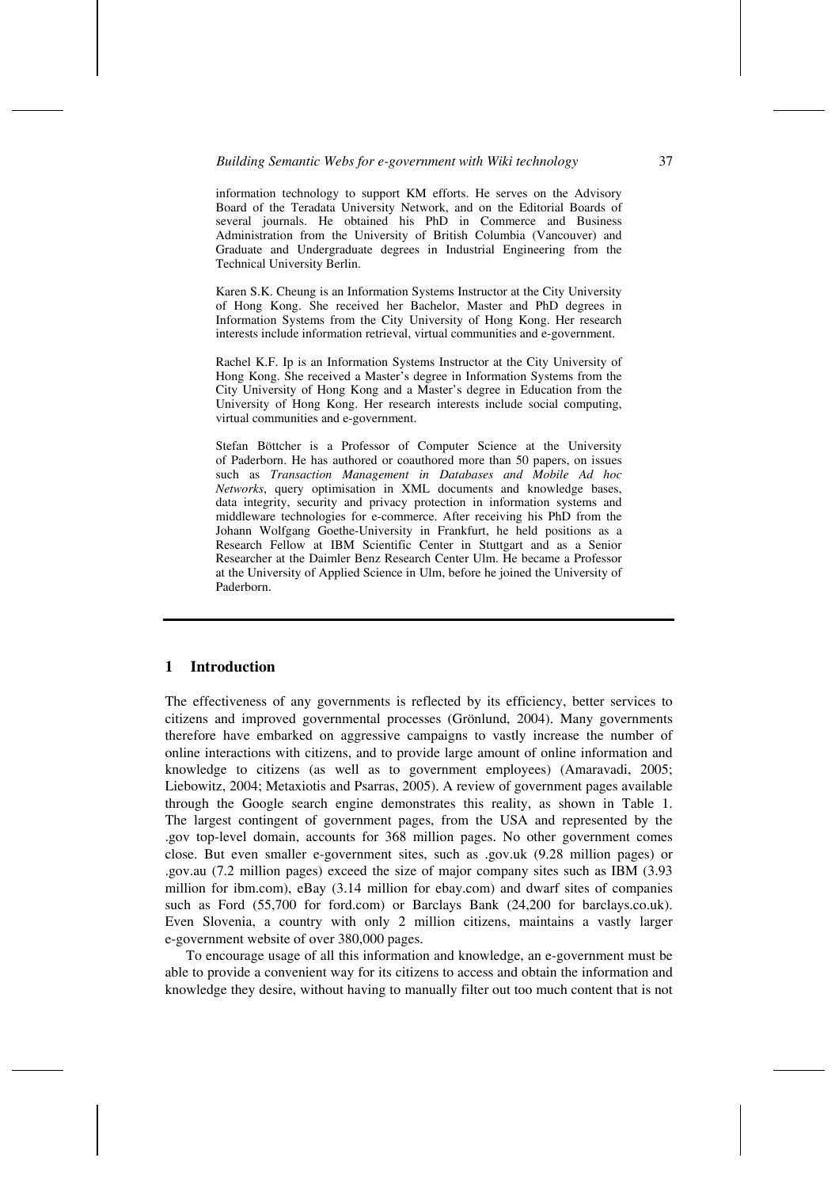information technology to support KM efforts. He serves on the Advisory Board of the Teradata University Network, and on the Editorial Boards of several journals. He obtained his PhD in Commerce and Business Administration from the University of British Columbia (Vancouver) and Graduate and Undergraduate degrees in Industrial Engineering from the Technical University Berlin.

Karen S.K. Cheung is an Information Systems Instructor at the City University of Hong Kong. She received her Bachelor, Master and PhD degrees in Information Systems from the City University of Hong Kong. Her research interests include information retrieval, virtual communities and e-government.

Rachel K.F. Ip is an Information Systems Instructor at the City University of Hong Kong. She received a Master's degree in Information Systems from the City University of Hong Kong and a Master's degree in Education from the University of Hong Kong. Her research interests include social computing, virtual communities and e-government.

Stefan Böttcher is a Professor of Computer Science at the University of Paderborn. He has authored or coauthored more than 50 papers, on issues such as *Transaction Management in Databases and Mobile Ad hoc Networks*, query optimisation in XML documents and knowledge bases, data integrity, security and privacy protection in information systems and middleware technologies for e-commerce. After receiving his PhD from the Johann Wolfgang Goethe-University in Frankfurt, he held positions as a Research Fellow at IBM Scientific Center in Stuttgart and as a Senior Researcher at the Daimler Benz Research Center Ulm. He became a Professor at the University of Applied Science in Ulm, before he joined the University of Paderborn.

## **1 Introduction**

The effectiveness of any governments is reflected by its efficiency, better services to citizens and improved governmental processes (Grönlund, 2004). Many governments therefore have embarked on aggressive campaigns to vastly increase the number of online interactions with citizens, and to provide large amount of online information and knowledge to citizens (as well as to government employees) (Amaravadi, 2005; Liebowitz, 2004; Metaxiotis and Psarras, 2005). A review of government pages available through the Google search engine demonstrates this reality, as shown in Table 1. The largest contingent of government pages, from the USA and represented by the .gov top-level domain, accounts for 368 million pages. No other government comes close. But even smaller e-government sites, such as .gov.uk (9.28 million pages) or .gov.au (7.2 million pages) exceed the size of major company sites such as IBM (3.93 million for ibm.com), eBay (3.14 million for ebay.com) and dwarf sites of companies such as Ford (55,700 for ford.com) or Barclays Bank (24,200 for barclays.co.uk). Even Slovenia, a country with only 2 million citizens, maintains a vastly larger e-government website of over 380,000 pages.

To encourage usage of all this information and knowledge, an e-government must be able to provide a convenient way for its citizens to access and obtain the information and knowledge they desire, without having to manually filter out too much content that is not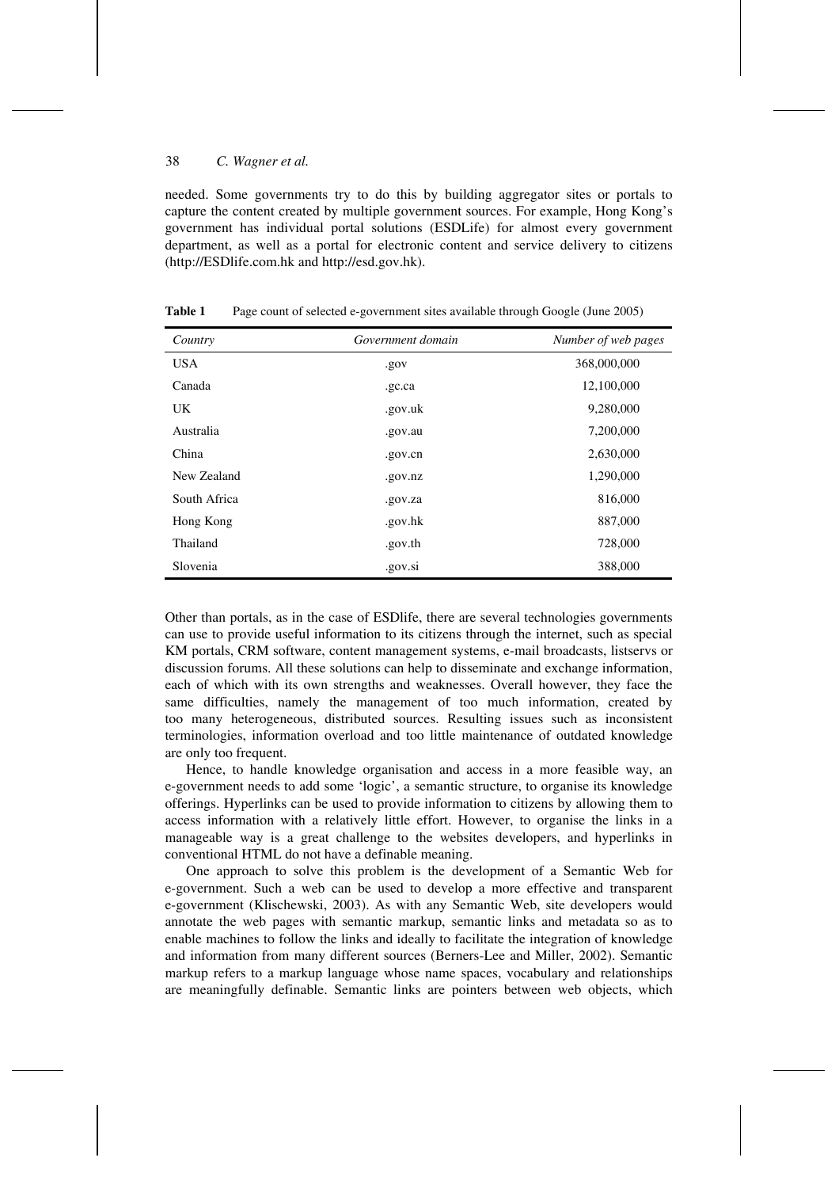needed. Some governments try to do this by building aggregator sites or portals to capture the content created by multiple government sources. For example, Hong Kong's government has individual portal solutions (ESDLife) for almost every government department, as well as a portal for electronic content and service delivery to citizens (http://ESDlife.com.hk and http://esd.gov.hk).

| Country      | Government domain | Number of web pages |
|--------------|-------------------|---------------------|
| <b>USA</b>   | .gov              | 368,000,000         |
| Canada       | .gc.ca            | 12,100,000          |
| UK           | .gov.uk           | 9,280,000           |
| Australia    | .gov.au           | 7,200,000           |
| China        | .gov.cn           | 2,630,000           |
| New Zealand  | .gov.nz           | 1,290,000           |
| South Africa | .gov.za           | 816,000             |
| Hong Kong    | .gov.hk           | 887,000             |
| Thailand     | .gov.th           | 728,000             |
| Slovenia     | .gov.si           | 388,000             |

**Table 1** Page count of selected e-government sites available through Google (June 2005)

Other than portals, as in the case of ESDlife, there are several technologies governments can use to provide useful information to its citizens through the internet, such as special KM portals, CRM software, content management systems, e-mail broadcasts, listservs or discussion forums. All these solutions can help to disseminate and exchange information, each of which with its own strengths and weaknesses. Overall however, they face the same difficulties, namely the management of too much information, created by too many heterogeneous, distributed sources. Resulting issues such as inconsistent terminologies, information overload and too little maintenance of outdated knowledge are only too frequent.

Hence, to handle knowledge organisation and access in a more feasible way, an e-government needs to add some 'logic', a semantic structure, to organise its knowledge offerings. Hyperlinks can be used to provide information to citizens by allowing them to access information with a relatively little effort. However, to organise the links in a manageable way is a great challenge to the websites developers, and hyperlinks in conventional HTML do not have a definable meaning.

One approach to solve this problem is the development of a Semantic Web for e-government. Such a web can be used to develop a more effective and transparent e-government (Klischewski, 2003). As with any Semantic Web, site developers would annotate the web pages with semantic markup, semantic links and metadata so as to enable machines to follow the links and ideally to facilitate the integration of knowledge and information from many different sources (Berners-Lee and Miller, 2002). Semantic markup refers to a markup language whose name spaces, vocabulary and relationships are meaningfully definable. Semantic links are pointers between web objects, which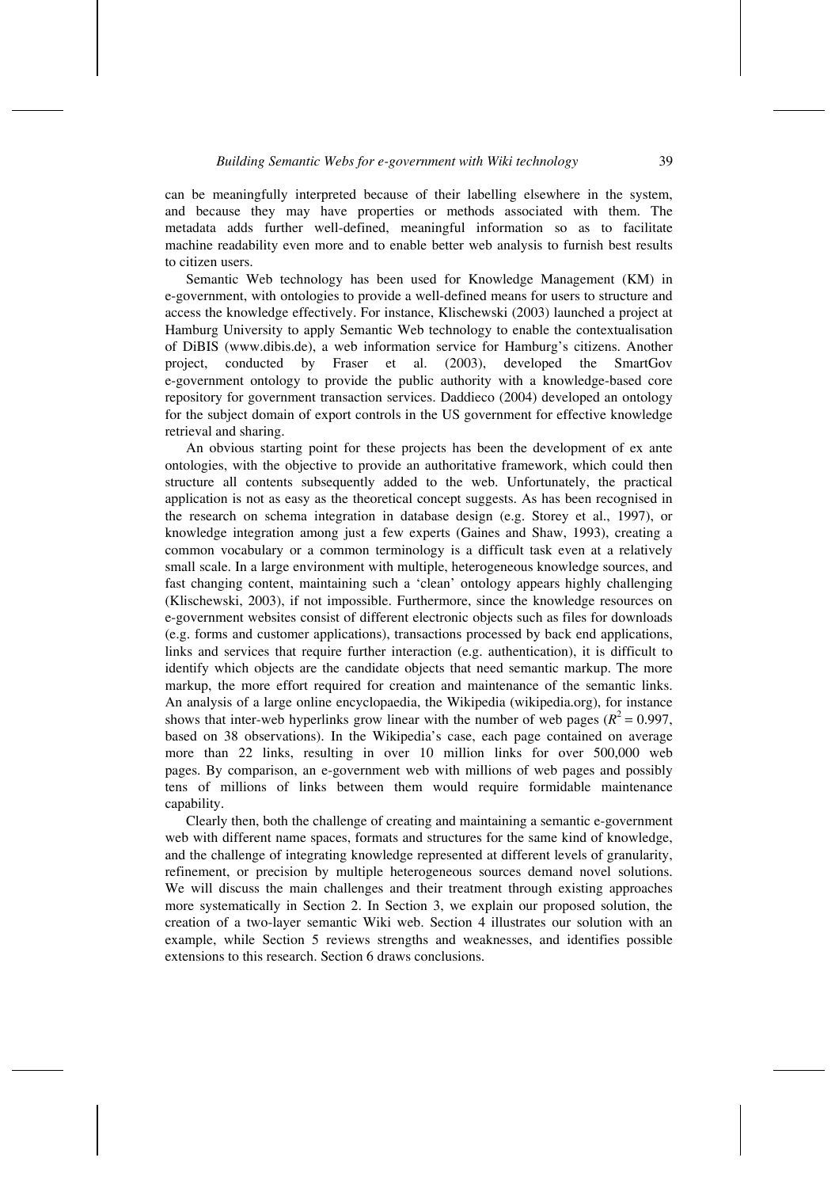can be meaningfully interpreted because of their labelling elsewhere in the system, and because they may have properties or methods associated with them. The metadata adds further well-defined, meaningful information so as to facilitate machine readability even more and to enable better web analysis to furnish best results to citizen users.

Semantic Web technology has been used for Knowledge Management (KM) in e-government, with ontologies to provide a well-defined means for users to structure and access the knowledge effectively. For instance, Klischewski (2003) launched a project at Hamburg University to apply Semantic Web technology to enable the contextualisation of DiBIS (www.dibis.de), a web information service for Hamburg's citizens. Another project, conducted by Fraser et al. (2003), developed the SmartGov e-government ontology to provide the public authority with a knowledge-based core repository for government transaction services. Daddieco (2004) developed an ontology for the subject domain of export controls in the US government for effective knowledge retrieval and sharing.

An obvious starting point for these projects has been the development of ex ante ontologies, with the objective to provide an authoritative framework, which could then structure all contents subsequently added to the web. Unfortunately, the practical application is not as easy as the theoretical concept suggests. As has been recognised in the research on schema integration in database design (e.g. Storey et al., 1997), or knowledge integration among just a few experts (Gaines and Shaw, 1993), creating a common vocabulary or a common terminology is a difficult task even at a relatively small scale. In a large environment with multiple, heterogeneous knowledge sources, and fast changing content, maintaining such a 'clean' ontology appears highly challenging (Klischewski, 2003), if not impossible. Furthermore, since the knowledge resources on e-government websites consist of different electronic objects such as files for downloads (e.g. forms and customer applications), transactions processed by back end applications, links and services that require further interaction (e.g. authentication), it is difficult to identify which objects are the candidate objects that need semantic markup. The more markup, the more effort required for creation and maintenance of the semantic links. An analysis of a large online encyclopaedia, the Wikipedia (wikipedia.org), for instance shows that inter-web hyperlinks grow linear with the number of web pages  $(R^2 = 0.997$ , based on 38 observations). In the Wikipedia's case, each page contained on average more than 22 links, resulting in over 10 million links for over 500,000 web pages. By comparison, an e-government web with millions of web pages and possibly tens of millions of links between them would require formidable maintenance capability.

Clearly then, both the challenge of creating and maintaining a semantic e-government web with different name spaces, formats and structures for the same kind of knowledge, and the challenge of integrating knowledge represented at different levels of granularity, refinement, or precision by multiple heterogeneous sources demand novel solutions. We will discuss the main challenges and their treatment through existing approaches more systematically in Section 2. In Section 3, we explain our proposed solution, the creation of a two-layer semantic Wiki web. Section 4 illustrates our solution with an example, while Section 5 reviews strengths and weaknesses, and identifies possible extensions to this research. Section 6 draws conclusions.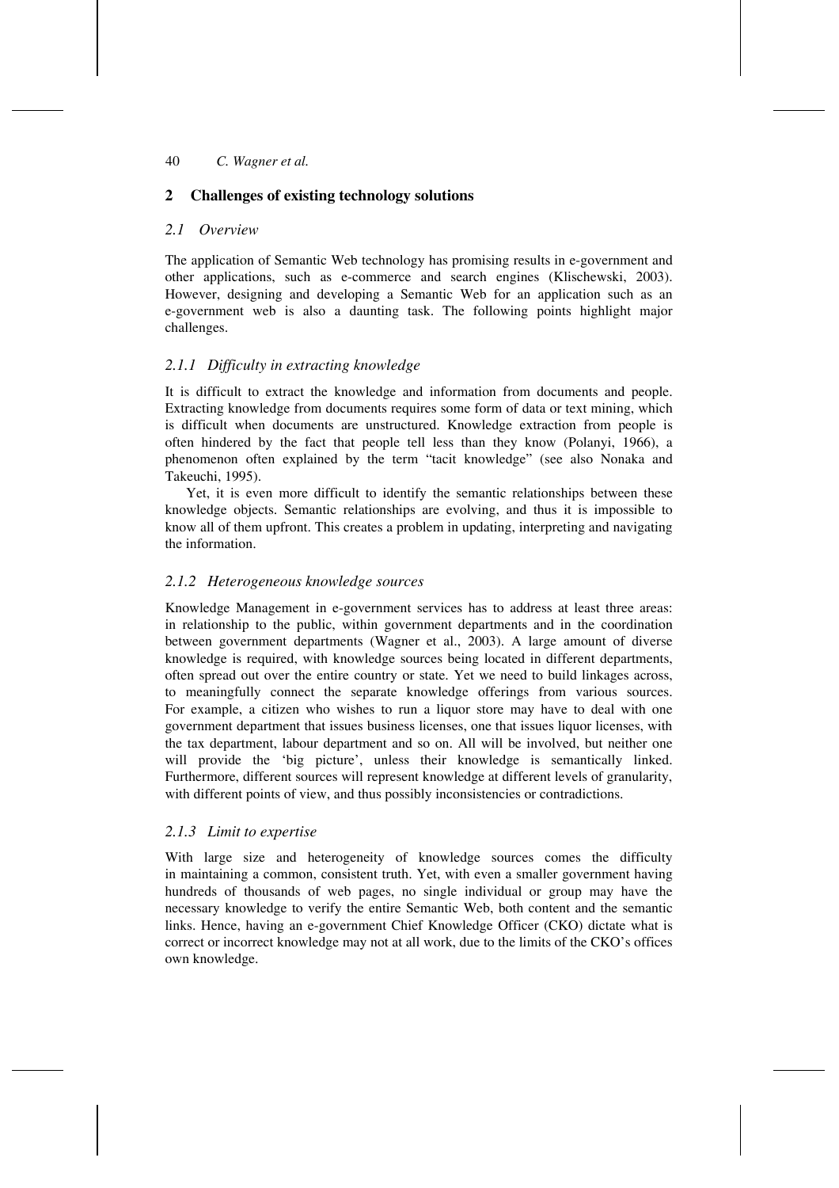# **2 Challenges of existing technology solutions**

## *2.1 Overview*

The application of Semantic Web technology has promising results in e-government and other applications, such as e-commerce and search engines (Klischewski, 2003). However, designing and developing a Semantic Web for an application such as an e-government web is also a daunting task. The following points highlight major challenges.

## *2.1.1 Difficulty in extracting knowledge*

It is difficult to extract the knowledge and information from documents and people. Extracting knowledge from documents requires some form of data or text mining, which is difficult when documents are unstructured. Knowledge extraction from people is often hindered by the fact that people tell less than they know (Polanyi, 1966), a phenomenon often explained by the term "tacit knowledge" (see also Nonaka and Takeuchi, 1995).

Yet, it is even more difficult to identify the semantic relationships between these knowledge objects. Semantic relationships are evolving, and thus it is impossible to know all of them upfront. This creates a problem in updating, interpreting and navigating the information.

### *2.1.2 Heterogeneous knowledge sources*

Knowledge Management in e-government services has to address at least three areas: in relationship to the public, within government departments and in the coordination between government departments (Wagner et al., 2003). A large amount of diverse knowledge is required, with knowledge sources being located in different departments, often spread out over the entire country or state. Yet we need to build linkages across, to meaningfully connect the separate knowledge offerings from various sources. For example, a citizen who wishes to run a liquor store may have to deal with one government department that issues business licenses, one that issues liquor licenses, with the tax department, labour department and so on. All will be involved, but neither one will provide the 'big picture', unless their knowledge is semantically linked. Furthermore, different sources will represent knowledge at different levels of granularity, with different points of view, and thus possibly inconsistencies or contradictions.

## *2.1.3 Limit to expertise*

With large size and heterogeneity of knowledge sources comes the difficulty in maintaining a common, consistent truth. Yet, with even a smaller government having hundreds of thousands of web pages, no single individual or group may have the necessary knowledge to verify the entire Semantic Web, both content and the semantic links. Hence, having an e-government Chief Knowledge Officer (CKO) dictate what is correct or incorrect knowledge may not at all work, due to the limits of the CKO's offices own knowledge.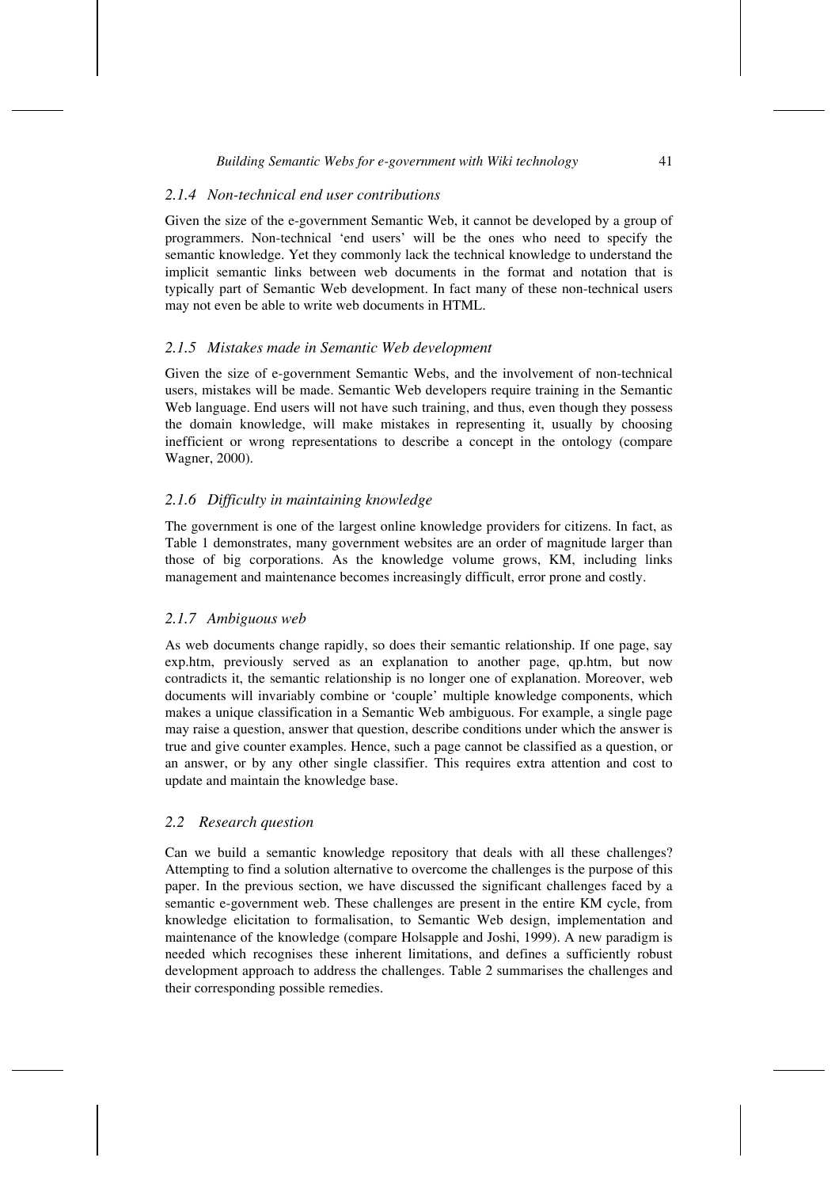## *2.1.4 Non-technical end user contributions*

Given the size of the e-government Semantic Web, it cannot be developed by a group of programmers. Non-technical 'end users' will be the ones who need to specify the semantic knowledge. Yet they commonly lack the technical knowledge to understand the implicit semantic links between web documents in the format and notation that is typically part of Semantic Web development. In fact many of these non-technical users may not even be able to write web documents in HTML.

#### *2.1.5 Mistakes made in Semantic Web development*

Given the size of e-government Semantic Webs, and the involvement of non-technical users, mistakes will be made. Semantic Web developers require training in the Semantic Web language. End users will not have such training, and thus, even though they possess the domain knowledge, will make mistakes in representing it, usually by choosing inefficient or wrong representations to describe a concept in the ontology (compare Wagner, 2000).

## *2.1.6 Difficulty in maintaining knowledge*

The government is one of the largest online knowledge providers for citizens. In fact, as Table 1 demonstrates, many government websites are an order of magnitude larger than those of big corporations. As the knowledge volume grows, KM, including links management and maintenance becomes increasingly difficult, error prone and costly.

## *2.1.7 Ambiguous web*

As web documents change rapidly, so does their semantic relationship. If one page, say exp.htm, previously served as an explanation to another page, qp.htm, but now contradicts it, the semantic relationship is no longer one of explanation. Moreover, web documents will invariably combine or 'couple' multiple knowledge components, which makes a unique classification in a Semantic Web ambiguous. For example, a single page may raise a question, answer that question, describe conditions under which the answer is true and give counter examples. Hence, such a page cannot be classified as a question, or an answer, or by any other single classifier. This requires extra attention and cost to update and maintain the knowledge base.

#### *2.2 Research question*

Can we build a semantic knowledge repository that deals with all these challenges? Attempting to find a solution alternative to overcome the challenges is the purpose of this paper. In the previous section, we have discussed the significant challenges faced by a semantic e-government web. These challenges are present in the entire KM cycle, from knowledge elicitation to formalisation, to Semantic Web design, implementation and maintenance of the knowledge (compare Holsapple and Joshi, 1999). A new paradigm is needed which recognises these inherent limitations, and defines a sufficiently robust development approach to address the challenges. Table 2 summarises the challenges and their corresponding possible remedies.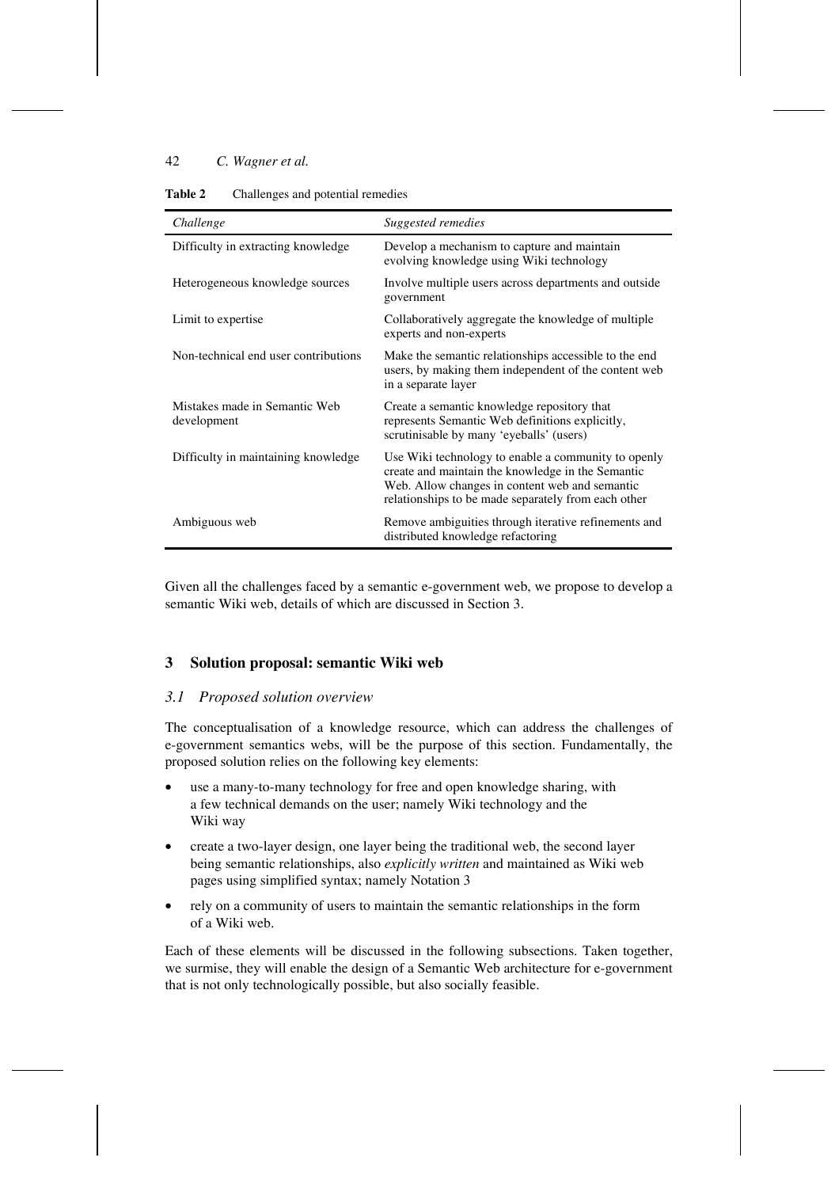**Table 2** Challenges and potential remedies

| Challenge                                    | Suggested remedies                                                                                                                                                                                                |
|----------------------------------------------|-------------------------------------------------------------------------------------------------------------------------------------------------------------------------------------------------------------------|
| Difficulty in extracting knowledge           | Develop a mechanism to capture and maintain<br>evolving knowledge using Wiki technology                                                                                                                           |
| Heterogeneous knowledge sources              | Involve multiple users across departments and outside<br>government                                                                                                                                               |
| Limit to expertise                           | Collaboratively aggregate the knowledge of multiple<br>experts and non-experts                                                                                                                                    |
| Non-technical end user contributions         | Make the semantic relationships accessible to the end.<br>users, by making them independent of the content web<br>in a separate layer                                                                             |
| Mistakes made in Semantic Web<br>development | Create a semantic knowledge repository that<br>represents Semantic Web definitions explicitly,<br>scrutinisable by many 'eyeballs' (users)                                                                        |
| Difficulty in maintaining knowledge          | Use Wiki technology to enable a community to openly<br>create and maintain the knowledge in the Semantic<br>Web. Allow changes in content web and semantic<br>relationships to be made separately from each other |
| Ambiguous web                                | Remove ambiguities through iterative refinements and<br>distributed knowledge refactoring                                                                                                                         |

Given all the challenges faced by a semantic e-government web, we propose to develop a semantic Wiki web, details of which are discussed in Section 3.

## **3 Solution proposal: semantic Wiki web**

## *3.1 Proposed solution overview*

The conceptualisation of a knowledge resource, which can address the challenges of e-government semantics webs, will be the purpose of this section. Fundamentally, the proposed solution relies on the following key elements:

- use a many-to-many technology for free and open knowledge sharing, with a few technical demands on the user; namely Wiki technology and the Wiki way
- create a two-layer design, one layer being the traditional web, the second layer being semantic relationships, also *explicitly written* and maintained as Wiki web pages using simplified syntax; namely Notation 3
- rely on a community of users to maintain the semantic relationships in the form of a Wiki web.

Each of these elements will be discussed in the following subsections. Taken together, we surmise, they will enable the design of a Semantic Web architecture for e-government that is not only technologically possible, but also socially feasible.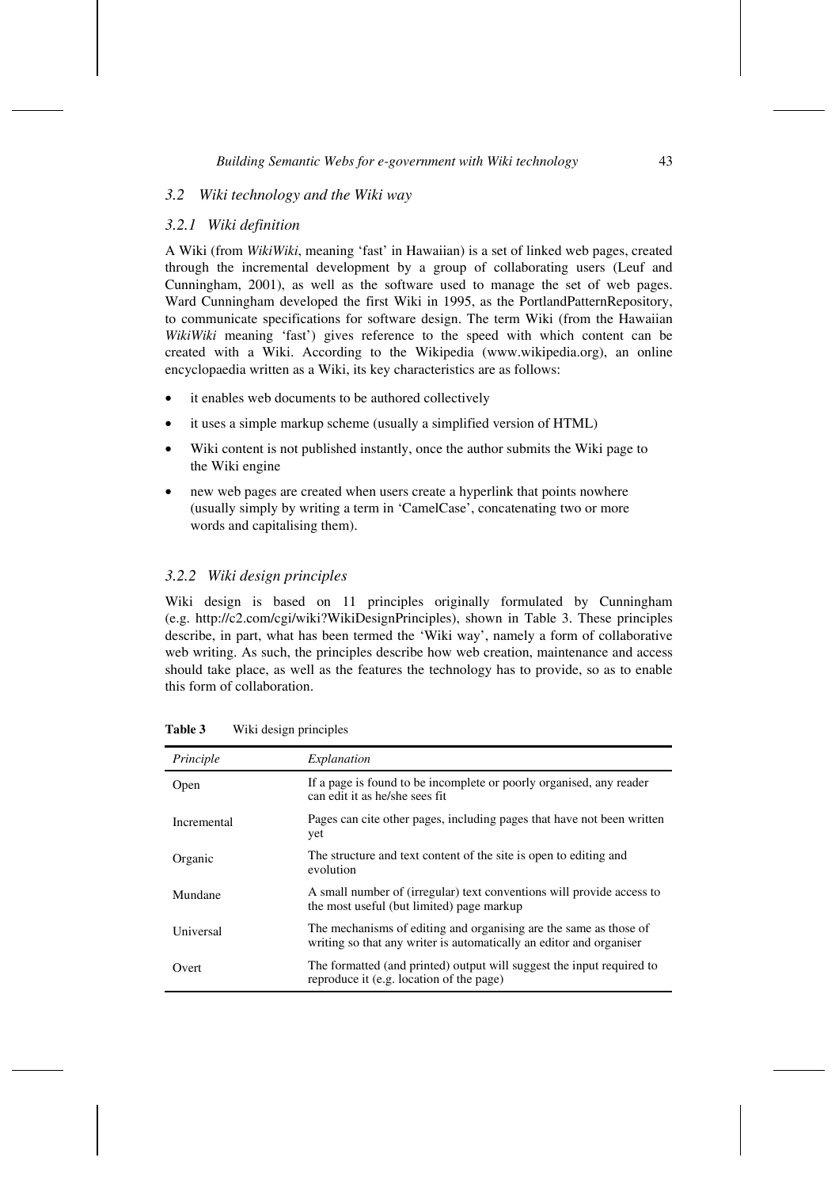## *3.2 Wiki technology and the Wiki way*

## *3.2.1 Wiki definition*

A Wiki (from *WikiWiki*, meaning 'fast' in Hawaiian) is a set of linked web pages, created through the incremental development by a group of collaborating users (Leuf and Cunningham, 2001), as well as the software used to manage the set of web pages. Ward Cunningham developed the first Wiki in 1995, as the PortlandPatternRepository, to communicate specifications for software design. The term Wiki (from the Hawaiian *WikiWiki* meaning 'fast') gives reference to the speed with which content can be created with a Wiki. According to the Wikipedia (www.wikipedia.org), an online encyclopaedia written as a Wiki, its key characteristics are as follows:

- it enables web documents to be authored collectively
- it uses a simple markup scheme (usually a simplified version of HTML)
- Wiki content is not published instantly, once the author submits the Wiki page to the Wiki engine
- new web pages are created when users create a hyperlink that points nowhere (usually simply by writing a term in 'CamelCase', concatenating two or more words and capitalising them).

#### *3.2.2 Wiki design principles*

Wiki design is based on 11 principles originally formulated by Cunningham (e.g. http://c2.com/cgi/wiki?WikiDesignPrinciples), shown in Table 3. These principles describe, in part, what has been termed the 'Wiki way', namely a form of collaborative web writing. As such, the principles describe how web creation, maintenance and access should take place, as well as the features the technology has to provide, so as to enable this form of collaboration.

| Principle   | Explanation                                                                                                                              |
|-------------|------------------------------------------------------------------------------------------------------------------------------------------|
| Open        | If a page is found to be incomplete or poorly organised, any reader<br>can edit it as he/she sees fit                                    |
| Incremental | Pages can cite other pages, including pages that have not been written<br>yet                                                            |
| Organic     | The structure and text content of the site is open to editing and<br>evolution                                                           |
| Mundane     | A small number of (irregular) text conventions will provide access to<br>the most useful (but limited) page markup                       |
| Universal   | The mechanisms of editing and organising are the same as those of<br>writing so that any writer is automatically an editor and organiser |
| Overt       | The formatted (and printed) output will suggest the input required to<br>reproduce it (e.g. location of the page)                        |

**Table 3** Wiki design principles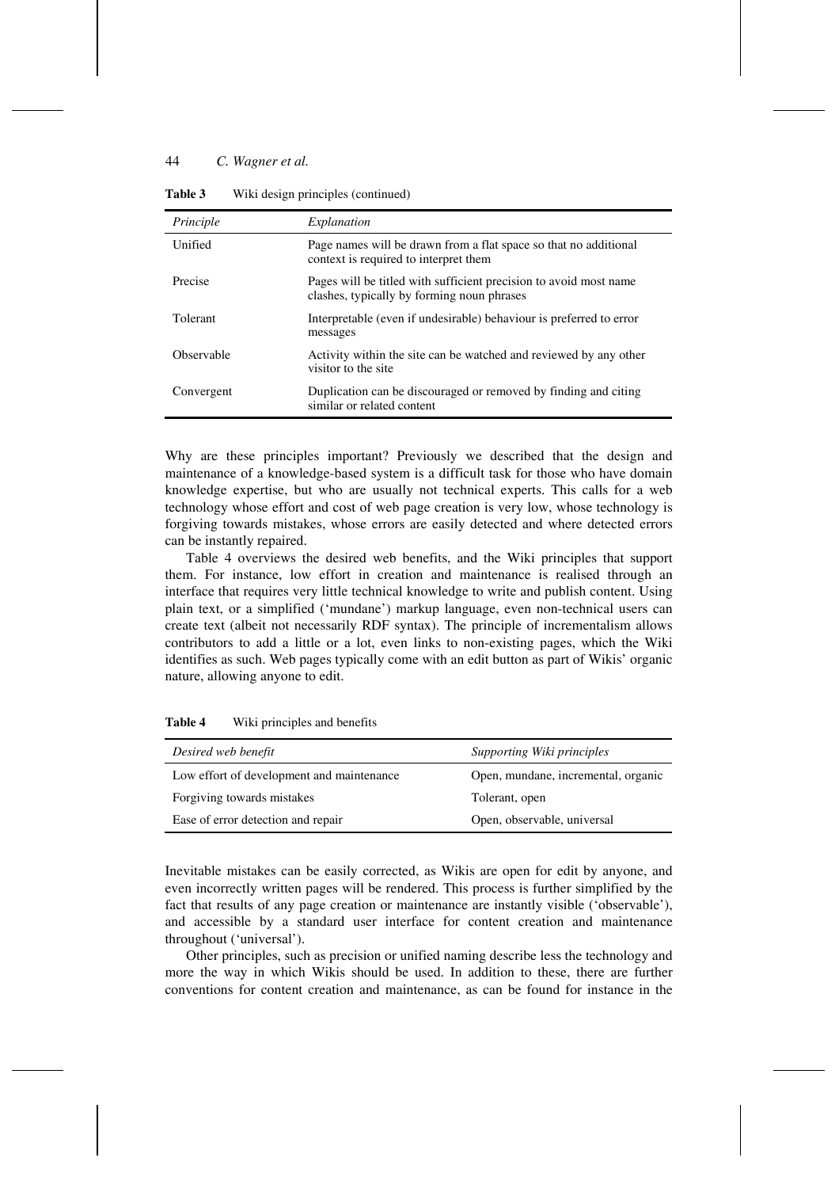| Principle       | Explanation                                                                                                     |
|-----------------|-----------------------------------------------------------------------------------------------------------------|
| Unified         | Page names will be drawn from a flat space so that no additional<br>context is required to interpret them       |
| Precise         | Pages will be titled with sufficient precision to avoid most name<br>clashes, typically by forming noun phrases |
| <b>Tolerant</b> | Interpretable (even if undesirable) behaviour is preferred to error<br>messages                                 |
| Observable      | Activity within the site can be watched and reviewed by any other<br>visitor to the site.                       |
| Convergent      | Duplication can be discouraged or removed by finding and citing<br>similar or related content                   |
|                 |                                                                                                                 |

**Table 3** Wiki design principles (continued)

Why are these principles important? Previously we described that the design and maintenance of a knowledge-based system is a difficult task for those who have domain knowledge expertise, but who are usually not technical experts. This calls for a web technology whose effort and cost of web page creation is very low, whose technology is forgiving towards mistakes, whose errors are easily detected and where detected errors can be instantly repaired.

Table 4 overviews the desired web benefits, and the Wiki principles that support them. For instance, low effort in creation and maintenance is realised through an interface that requires very little technical knowledge to write and publish content. Using plain text, or a simplified ('mundane') markup language, even non-technical users can create text (albeit not necessarily RDF syntax). The principle of incrementalism allows contributors to add a little or a lot, even links to non-existing pages, which the Wiki identifies as such. Web pages typically come with an edit button as part of Wikis' organic nature, allowing anyone to edit.

| Desired web benefit                       | Supporting Wiki principles          |
|-------------------------------------------|-------------------------------------|
| Low effort of development and maintenance | Open, mundane, incremental, organic |
| Forgiving towards mistakes                | Tolerant, open                      |
| Ease of error detection and repair        | Open, observable, universal         |

**Table 4** Wiki principles and benefits

Inevitable mistakes can be easily corrected, as Wikis are open for edit by anyone, and even incorrectly written pages will be rendered. This process is further simplified by the fact that results of any page creation or maintenance are instantly visible ('observable'), and accessible by a standard user interface for content creation and maintenance throughout ('universal').

Other principles, such as precision or unified naming describe less the technology and more the way in which Wikis should be used. In addition to these, there are further conventions for content creation and maintenance, as can be found for instance in the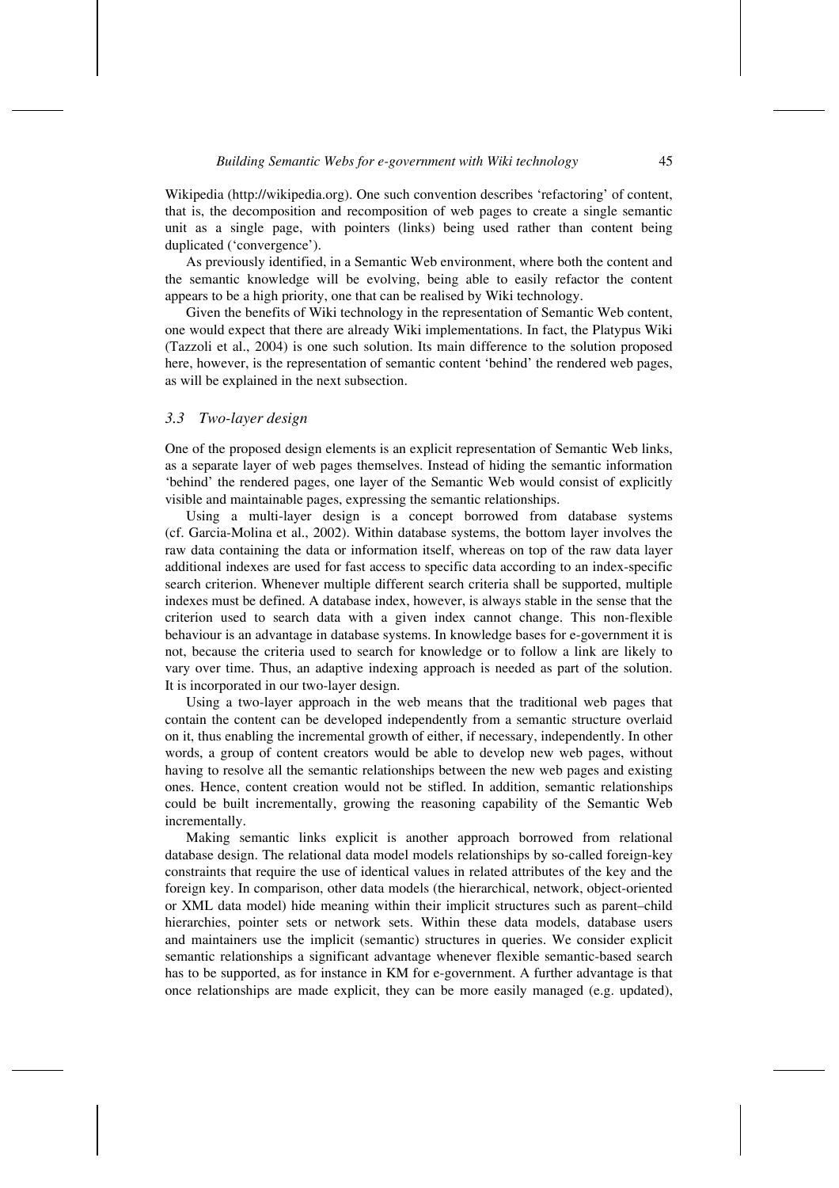Wikipedia (http://wikipedia.org). One such convention describes 'refactoring' of content, that is, the decomposition and recomposition of web pages to create a single semantic unit as a single page, with pointers (links) being used rather than content being duplicated ('convergence').

As previously identified, in a Semantic Web environment, where both the content and the semantic knowledge will be evolving, being able to easily refactor the content appears to be a high priority, one that can be realised by Wiki technology.

Given the benefits of Wiki technology in the representation of Semantic Web content, one would expect that there are already Wiki implementations. In fact, the Platypus Wiki (Tazzoli et al., 2004) is one such solution. Its main difference to the solution proposed here, however, is the representation of semantic content 'behind' the rendered web pages, as will be explained in the next subsection.

### *3.3 Two-layer design*

One of the proposed design elements is an explicit representation of Semantic Web links, as a separate layer of web pages themselves. Instead of hiding the semantic information 'behind' the rendered pages, one layer of the Semantic Web would consist of explicitly visible and maintainable pages, expressing the semantic relationships.

Using a multi-layer design is a concept borrowed from database systems (cf. Garcia-Molina et al., 2002). Within database systems, the bottom layer involves the raw data containing the data or information itself, whereas on top of the raw data layer additional indexes are used for fast access to specific data according to an index-specific search criterion. Whenever multiple different search criteria shall be supported, multiple indexes must be defined. A database index, however, is always stable in the sense that the criterion used to search data with a given index cannot change. This non-flexible behaviour is an advantage in database systems. In knowledge bases for e-government it is not, because the criteria used to search for knowledge or to follow a link are likely to vary over time. Thus, an adaptive indexing approach is needed as part of the solution. It is incorporated in our two-layer design.

Using a two-layer approach in the web means that the traditional web pages that contain the content can be developed independently from a semantic structure overlaid on it, thus enabling the incremental growth of either, if necessary, independently. In other words, a group of content creators would be able to develop new web pages, without having to resolve all the semantic relationships between the new web pages and existing ones. Hence, content creation would not be stifled. In addition, semantic relationships could be built incrementally, growing the reasoning capability of the Semantic Web incrementally.

Making semantic links explicit is another approach borrowed from relational database design. The relational data model models relationships by so-called foreign-key constraints that require the use of identical values in related attributes of the key and the foreign key. In comparison, other data models (the hierarchical, network, object-oriented or XML data model) hide meaning within their implicit structures such as parent–child hierarchies, pointer sets or network sets. Within these data models, database users and maintainers use the implicit (semantic) structures in queries. We consider explicit semantic relationships a significant advantage whenever flexible semantic-based search has to be supported, as for instance in KM for e-government. A further advantage is that once relationships are made explicit, they can be more easily managed (e.g. updated),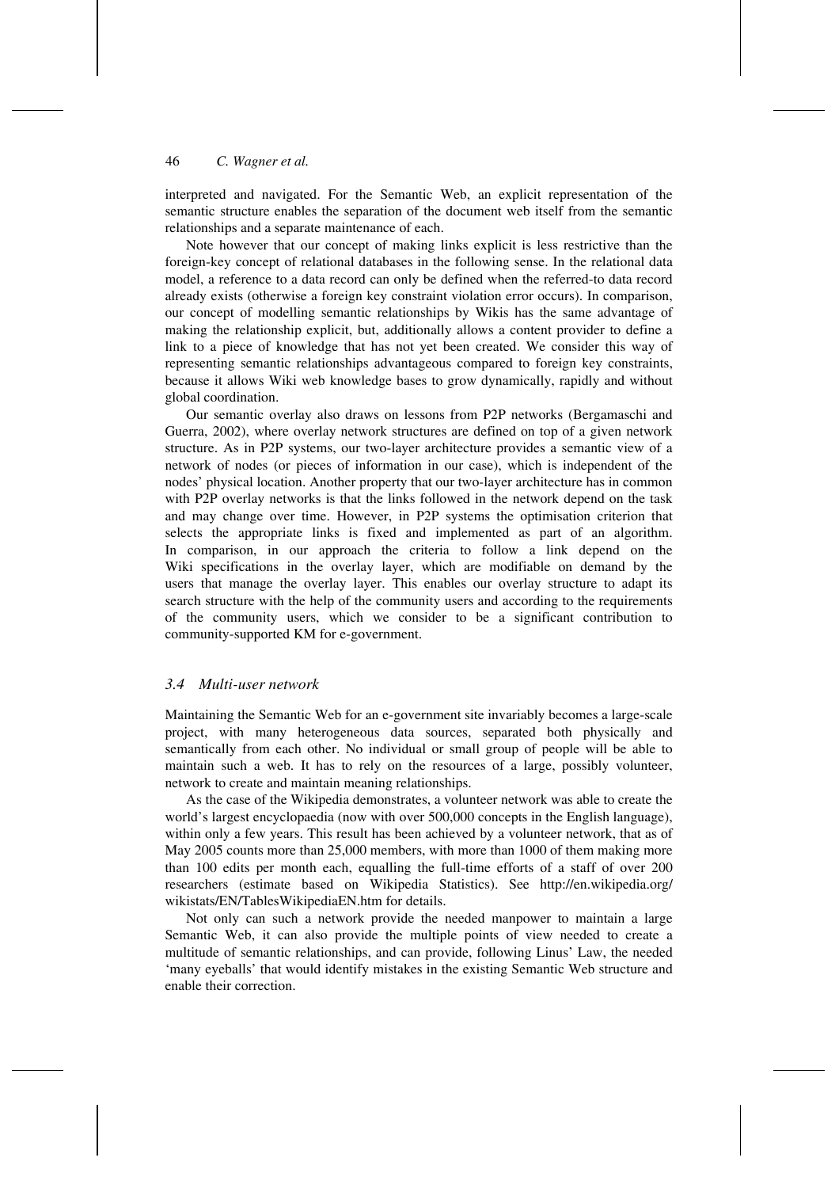interpreted and navigated. For the Semantic Web, an explicit representation of the semantic structure enables the separation of the document web itself from the semantic relationships and a separate maintenance of each.

Note however that our concept of making links explicit is less restrictive than the foreign-key concept of relational databases in the following sense. In the relational data model, a reference to a data record can only be defined when the referred-to data record already exists (otherwise a foreign key constraint violation error occurs). In comparison, our concept of modelling semantic relationships by Wikis has the same advantage of making the relationship explicit, but, additionally allows a content provider to define a link to a piece of knowledge that has not yet been created. We consider this way of representing semantic relationships advantageous compared to foreign key constraints, because it allows Wiki web knowledge bases to grow dynamically, rapidly and without global coordination.

Our semantic overlay also draws on lessons from P2P networks (Bergamaschi and Guerra, 2002), where overlay network structures are defined on top of a given network structure. As in P2P systems, our two-layer architecture provides a semantic view of a network of nodes (or pieces of information in our case), which is independent of the nodes' physical location. Another property that our two-layer architecture has in common with P2P overlay networks is that the links followed in the network depend on the task and may change over time. However, in P2P systems the optimisation criterion that selects the appropriate links is fixed and implemented as part of an algorithm. In comparison, in our approach the criteria to follow a link depend on the Wiki specifications in the overlay layer, which are modifiable on demand by the users that manage the overlay layer. This enables our overlay structure to adapt its search structure with the help of the community users and according to the requirements of the community users, which we consider to be a significant contribution to community-supported KM for e-government.

## *3.4 Multi-user network*

Maintaining the Semantic Web for an e-government site invariably becomes a large-scale project, with many heterogeneous data sources, separated both physically and semantically from each other. No individual or small group of people will be able to maintain such a web. It has to rely on the resources of a large, possibly volunteer, network to create and maintain meaning relationships.

As the case of the Wikipedia demonstrates, a volunteer network was able to create the world's largest encyclopaedia (now with over 500,000 concepts in the English language), within only a few years. This result has been achieved by a volunteer network, that as of May 2005 counts more than 25,000 members, with more than 1000 of them making more than 100 edits per month each, equalling the full-time efforts of a staff of over 200 researchers (estimate based on Wikipedia Statistics). See http://en.wikipedia.org/ wikistats/EN/TablesWikipediaEN.htm for details.

Not only can such a network provide the needed manpower to maintain a large Semantic Web, it can also provide the multiple points of view needed to create a multitude of semantic relationships, and can provide, following Linus' Law, the needed 'many eyeballs' that would identify mistakes in the existing Semantic Web structure and enable their correction.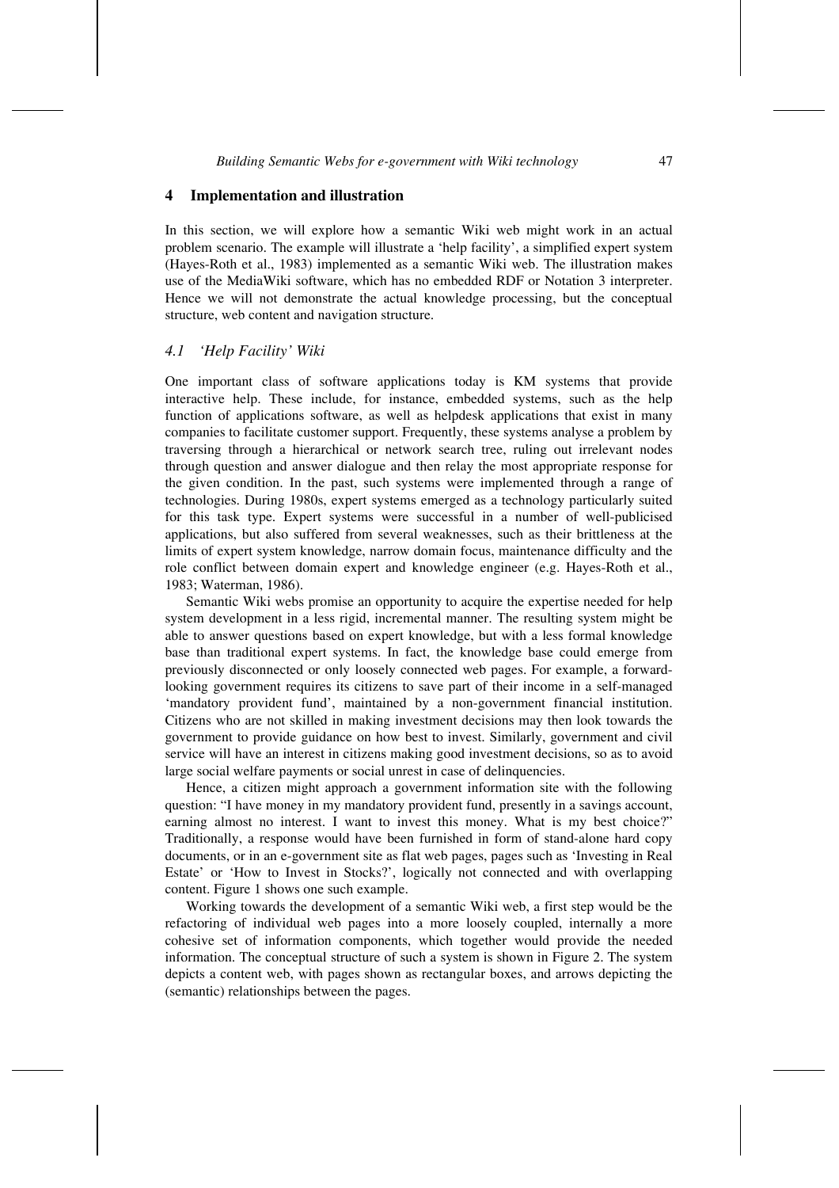## **4 Implementation and illustration**

In this section, we will explore how a semantic Wiki web might work in an actual problem scenario. The example will illustrate a 'help facility', a simplified expert system (Hayes-Roth et al., 1983) implemented as a semantic Wiki web. The illustration makes use of the MediaWiki software, which has no embedded RDF or Notation 3 interpreter. Hence we will not demonstrate the actual knowledge processing, but the conceptual structure, web content and navigation structure.

#### *4.1 'Help Facility' Wiki*

One important class of software applications today is KM systems that provide interactive help. These include, for instance, embedded systems, such as the help function of applications software, as well as helpdesk applications that exist in many companies to facilitate customer support. Frequently, these systems analyse a problem by traversing through a hierarchical or network search tree, ruling out irrelevant nodes through question and answer dialogue and then relay the most appropriate response for the given condition. In the past, such systems were implemented through a range of technologies. During 1980s, expert systems emerged as a technology particularly suited for this task type. Expert systems were successful in a number of well-publicised applications, but also suffered from several weaknesses, such as their brittleness at the limits of expert system knowledge, narrow domain focus, maintenance difficulty and the role conflict between domain expert and knowledge engineer (e.g. Hayes-Roth et al., 1983; Waterman, 1986).

Semantic Wiki webs promise an opportunity to acquire the expertise needed for help system development in a less rigid, incremental manner. The resulting system might be able to answer questions based on expert knowledge, but with a less formal knowledge base than traditional expert systems. In fact, the knowledge base could emerge from previously disconnected or only loosely connected web pages. For example, a forwardlooking government requires its citizens to save part of their income in a self-managed 'mandatory provident fund', maintained by a non-government financial institution. Citizens who are not skilled in making investment decisions may then look towards the government to provide guidance on how best to invest. Similarly, government and civil service will have an interest in citizens making good investment decisions, so as to avoid large social welfare payments or social unrest in case of delinquencies.

Hence, a citizen might approach a government information site with the following question: "I have money in my mandatory provident fund, presently in a savings account, earning almost no interest. I want to invest this money. What is my best choice?" Traditionally, a response would have been furnished in form of stand-alone hard copy documents, or in an e-government site as flat web pages, pages such as 'Investing in Real Estate' or 'How to Invest in Stocks?', logically not connected and with overlapping content. Figure 1 shows one such example.

Working towards the development of a semantic Wiki web, a first step would be the refactoring of individual web pages into a more loosely coupled, internally a more cohesive set of information components, which together would provide the needed information. The conceptual structure of such a system is shown in Figure 2. The system depicts a content web, with pages shown as rectangular boxes, and arrows depicting the (semantic) relationships between the pages.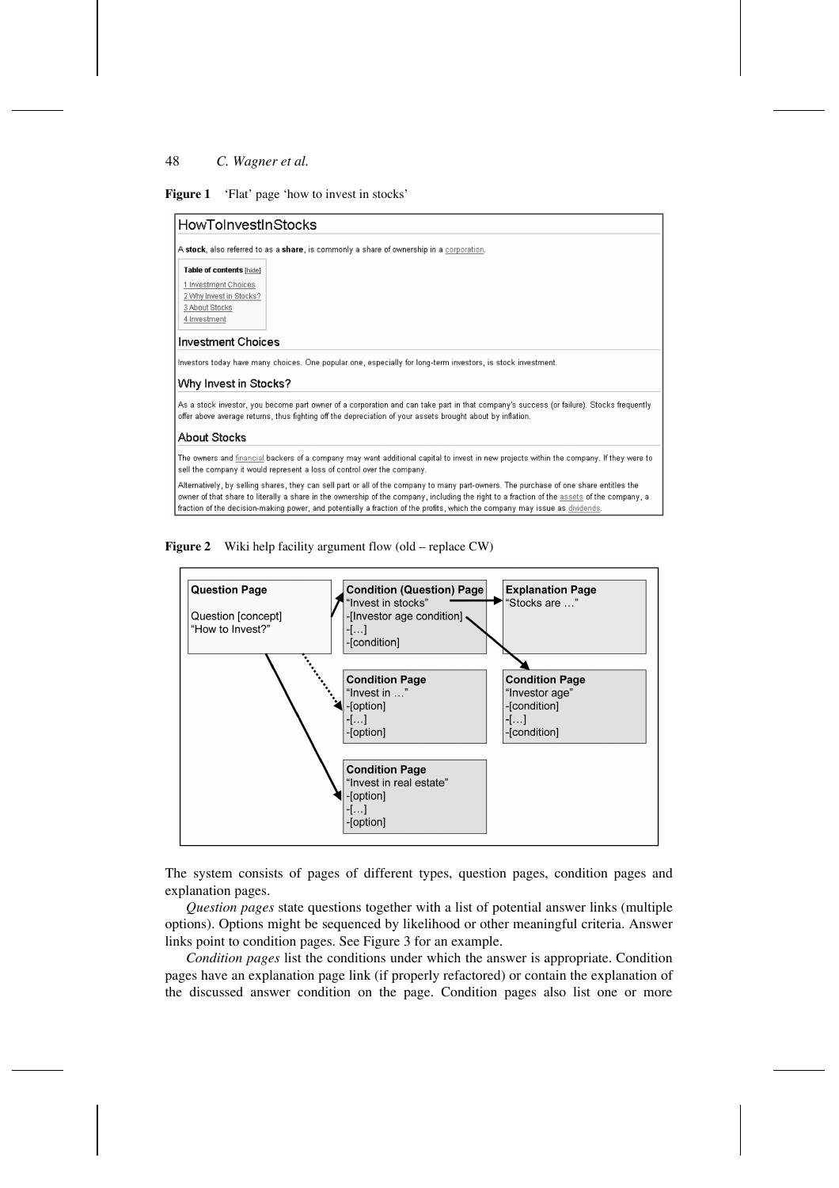**Figure 1** 'Flat' page 'how to invest in stocks'

| <b>HowToInvestInStocks</b>                                                                                                                                                                                                                                                                                                                                                                                           |  |  |
|----------------------------------------------------------------------------------------------------------------------------------------------------------------------------------------------------------------------------------------------------------------------------------------------------------------------------------------------------------------------------------------------------------------------|--|--|
| A stock, also referred to as a share, is commonly a share of ownership in a corporation.                                                                                                                                                                                                                                                                                                                             |  |  |
| Table of contents [hide]                                                                                                                                                                                                                                                                                                                                                                                             |  |  |
| 1 Investment Choices<br>2 Why Invest in Stocks?                                                                                                                                                                                                                                                                                                                                                                      |  |  |
| 3 About Stocks                                                                                                                                                                                                                                                                                                                                                                                                       |  |  |
| 4 Investment                                                                                                                                                                                                                                                                                                                                                                                                         |  |  |
| <b>Investment Choices</b>                                                                                                                                                                                                                                                                                                                                                                                            |  |  |
| Investors today have many choices. One popular one, especially for long-term investors, is stock investment.                                                                                                                                                                                                                                                                                                         |  |  |
| Why Invest in Stocks?                                                                                                                                                                                                                                                                                                                                                                                                |  |  |
| As a stock investor, you become part owner of a corporation and can take part in that company's success (or failure). Stocks frequently<br>offer above average returns, thus fighting off the depreciation of your assets brought about by inflation.                                                                                                                                                                |  |  |
| About Stocks                                                                                                                                                                                                                                                                                                                                                                                                         |  |  |
| The owners and financial backers of a company may want additional capital to invest in new projects within the company. If they were to<br>sell the company it would represent a loss of control over the company.                                                                                                                                                                                                   |  |  |
| Alternatively, by selling shares, they can sell part or all of the company to many part-owners. The purchase of one share entitles the<br>owner of that share to literally a share in the ownership of the company, including the right to a fraction of the assets of the company, a<br>fraction of the decision-making power, and potentially a fraction of the profits, which the company may issue as dividends. |  |  |

**Figure 2** Wiki help facility argument flow (old – replace CW)



The system consists of pages of different types, question pages, condition pages and explanation pages.

*Question pages* state questions together with a list of potential answer links (multiple options). Options might be sequenced by likelihood or other meaningful criteria. Answer links point to condition pages. See Figure 3 for an example.

*Condition pages* list the conditions under which the answer is appropriate. Condition pages have an explanation page link (if properly refactored) or contain the explanation of the discussed answer condition on the page. Condition pages also list one or more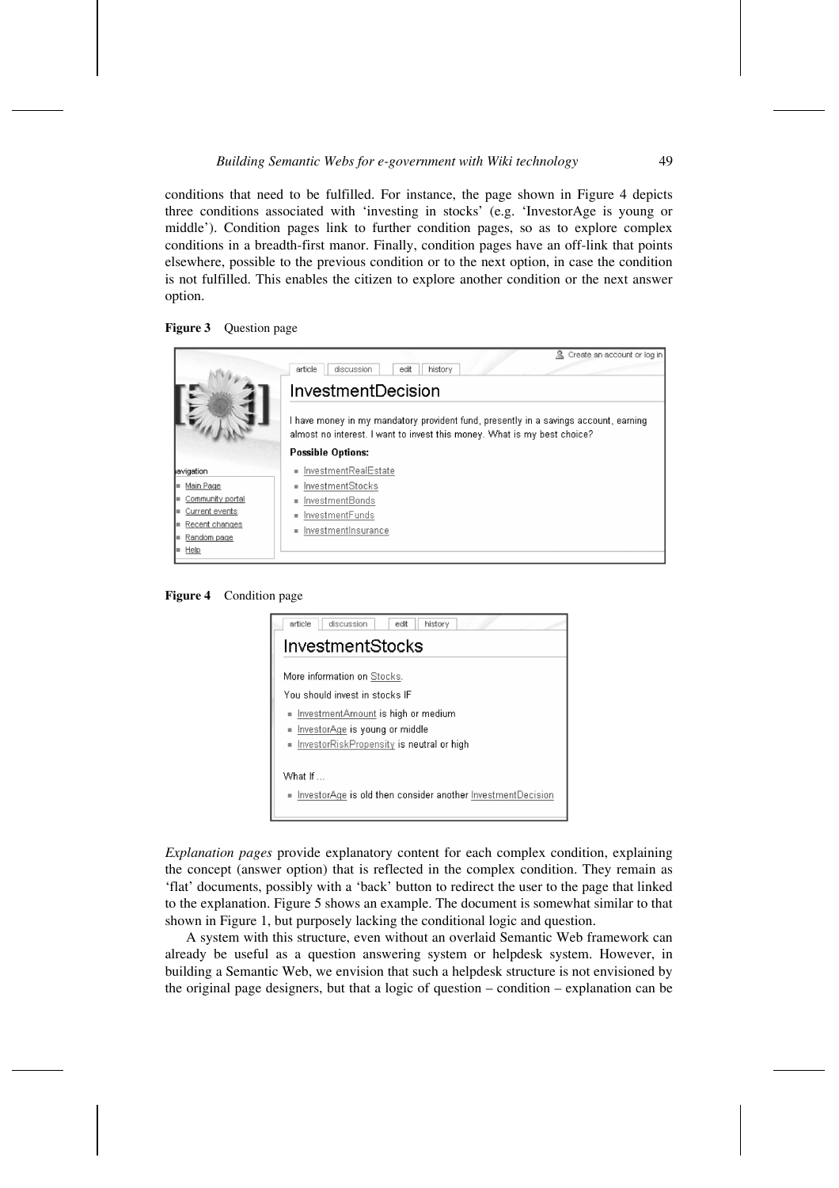conditions that need to be fulfilled. For instance, the page shown in Figure 4 depicts three conditions associated with 'investing in stocks' (e.g. 'InvestorAge is young or middle'). Condition pages link to further condition pages, so as to explore complex conditions in a breadth-first manor. Finally, condition pages have an off-link that points elsewhere, possible to the previous condition or to the next option, in case the condition is not fulfilled. This enables the citizen to explore another condition or the next answer option.





**Figure 4** Condition page



*Explanation pages* provide explanatory content for each complex condition, explaining the concept (answer option) that is reflected in the complex condition. They remain as 'flat' documents, possibly with a 'back' button to redirect the user to the page that linked to the explanation. Figure 5 shows an example. The document is somewhat similar to that shown in Figure 1, but purposely lacking the conditional logic and question.

A system with this structure, even without an overlaid Semantic Web framework can already be useful as a question answering system or helpdesk system. However, in building a Semantic Web, we envision that such a helpdesk structure is not envisioned by the original page designers, but that a logic of question – condition – explanation can be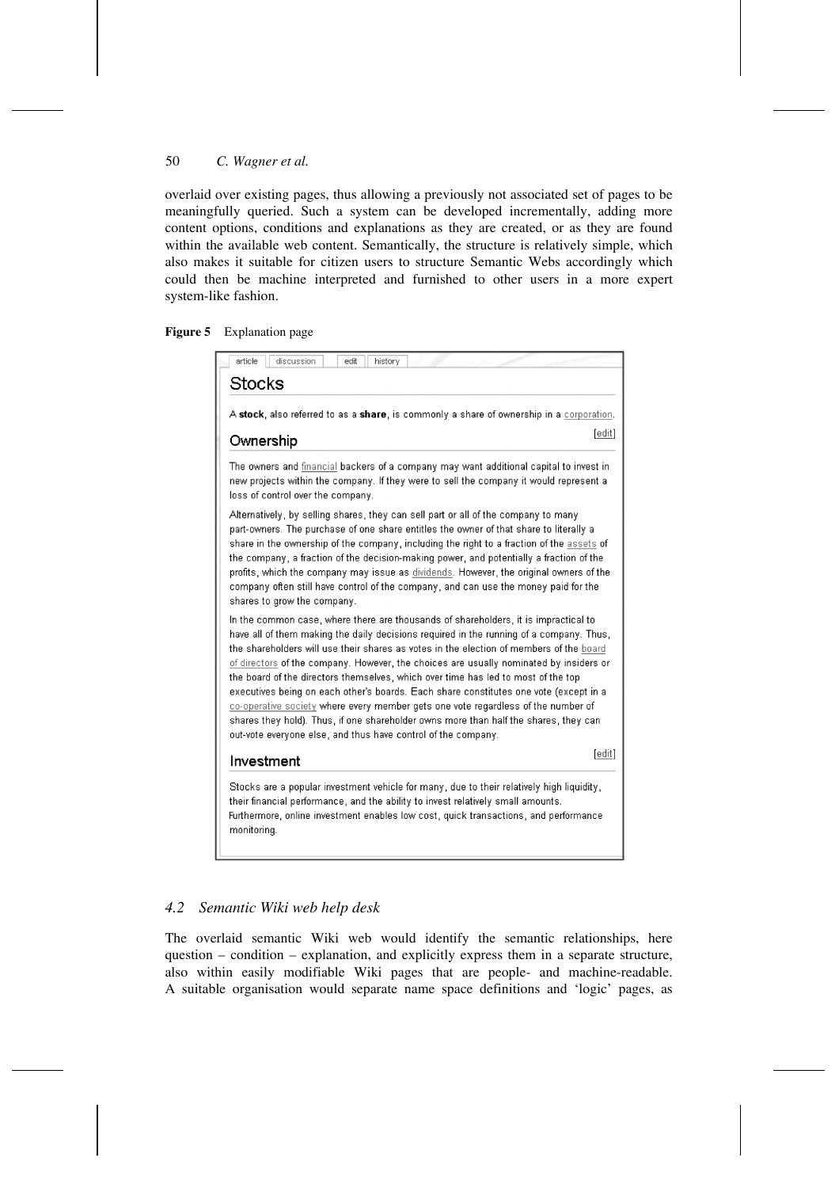overlaid over existing pages, thus allowing a previously not associated set of pages to be meaningfully queried. Such a system can be developed incrementally, adding more content options, conditions and explanations as they are created, or as they are found within the available web content. Semantically, the structure is relatively simple, which also makes it suitable for citizen users to structure Semantic Webs accordingly which could then be machine interpreted and furnished to other users in a more expert system-like fashion.

| <b>Figure 5</b> | Explanation page |  |
|-----------------|------------------|--|
|-----------------|------------------|--|

| article<br>discussion<br>edit<br>history                                                                                                                                                                                                                                                                                                                                                                                                                                                                                                                                                                                                                                                                                                                                                        |
|-------------------------------------------------------------------------------------------------------------------------------------------------------------------------------------------------------------------------------------------------------------------------------------------------------------------------------------------------------------------------------------------------------------------------------------------------------------------------------------------------------------------------------------------------------------------------------------------------------------------------------------------------------------------------------------------------------------------------------------------------------------------------------------------------|
| Stocks                                                                                                                                                                                                                                                                                                                                                                                                                                                                                                                                                                                                                                                                                                                                                                                          |
| A stock, also referred to as a share, is commonly a share of ownership in a corporation.                                                                                                                                                                                                                                                                                                                                                                                                                                                                                                                                                                                                                                                                                                        |
| [edit]<br>Ownership                                                                                                                                                                                                                                                                                                                                                                                                                                                                                                                                                                                                                                                                                                                                                                             |
| The owners and financial backers of a company may want additional capital to invest in<br>new projects within the company. If they were to sell the company it would represent a<br>loss of control over the company.                                                                                                                                                                                                                                                                                                                                                                                                                                                                                                                                                                           |
| Alternatively, by selling shares, they can sell part or all of the company to many<br>part-owners. The purchase of one share entitles the owner of that share to literally a<br>share in the ownership of the company, including the right to a fraction of the assets of<br>the company, a fraction of the decision-making power, and potentially a fraction of the<br>profits, which the company may issue as dividends. However, the original owners of the<br>company often still have control of the company, and can use the money paid for the<br>shares to grow the company.                                                                                                                                                                                                            |
| In the common case, where there are thousands of shareholders, it is impractical to<br>have all of them making the daily decisions required in the running of a company. Thus,<br>the shareholders will use their shares as votes in the election of members of the board<br>of directors of the company. However, the choices are usually nominated by insiders or<br>the board of the directors themselves, which over time has led to most of the top<br>executives being on each other's boards. Each share constitutes one vote (except in a<br>co-operative society where every member gets one vote regardless of the number of<br>shares they hold). Thus, if one shareholder owns more than half the shares, they can<br>out-vote everyone else, and thus have control of the company. |
| [edit]<br>Investment                                                                                                                                                                                                                                                                                                                                                                                                                                                                                                                                                                                                                                                                                                                                                                            |
| Stocks are a popular investment vehicle for many, due to their relatively high liquidity,<br>their financial performance, and the ability to invest relatively small amounts.<br>Furthermore, online investment enables low cost, quick transactions, and performance<br>monitoring.                                                                                                                                                                                                                                                                                                                                                                                                                                                                                                            |

# *4.2 Semantic Wiki web help desk*

The overlaid semantic Wiki web would identify the semantic relationships, here question – condition – explanation, and explicitly express them in a separate structure, also within easily modifiable Wiki pages that are people- and machine-readable. A suitable organisation would separate name space definitions and 'logic' pages, as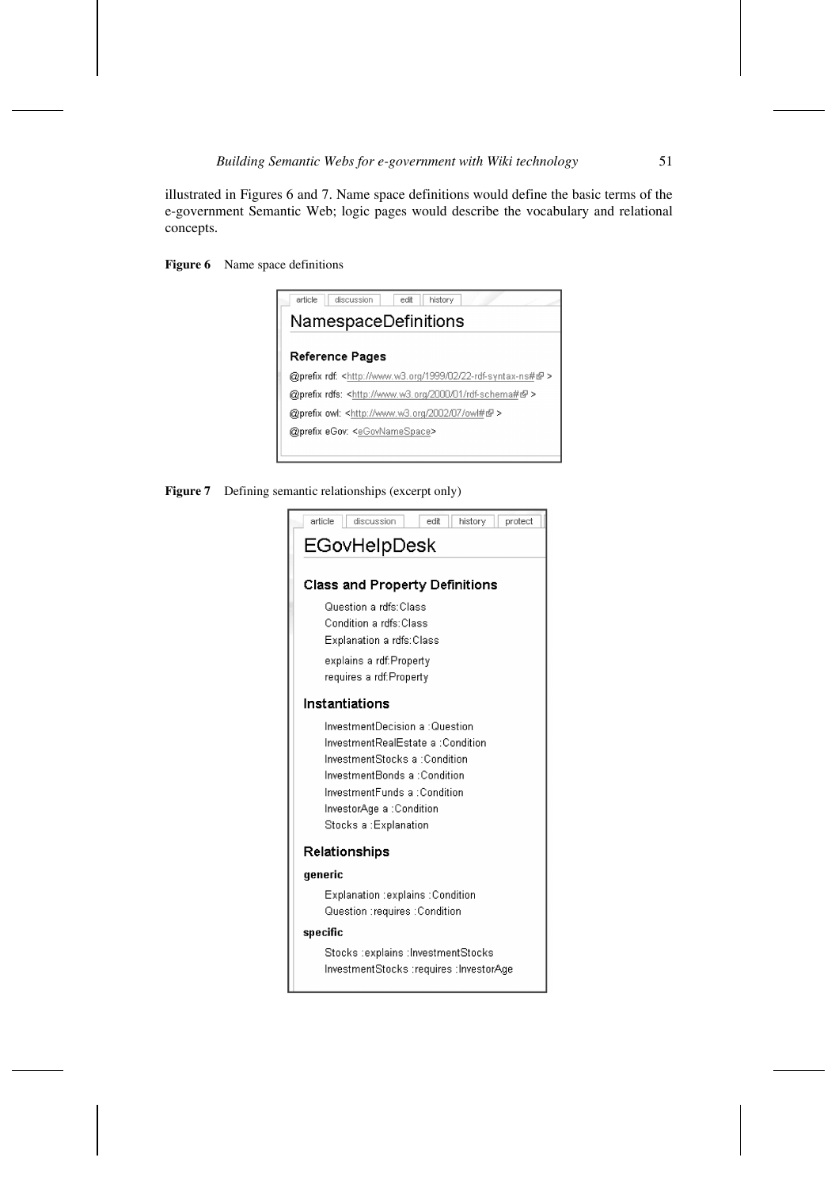illustrated in Figures 6 and 7. Name space definitions would define the basic terms of the e-government Semantic Web; logic pages would describe the vocabulary and relational concepts.

**Figure 6** Name space definitions



**Figure 7** Defining semantic relationships (excerpt only)

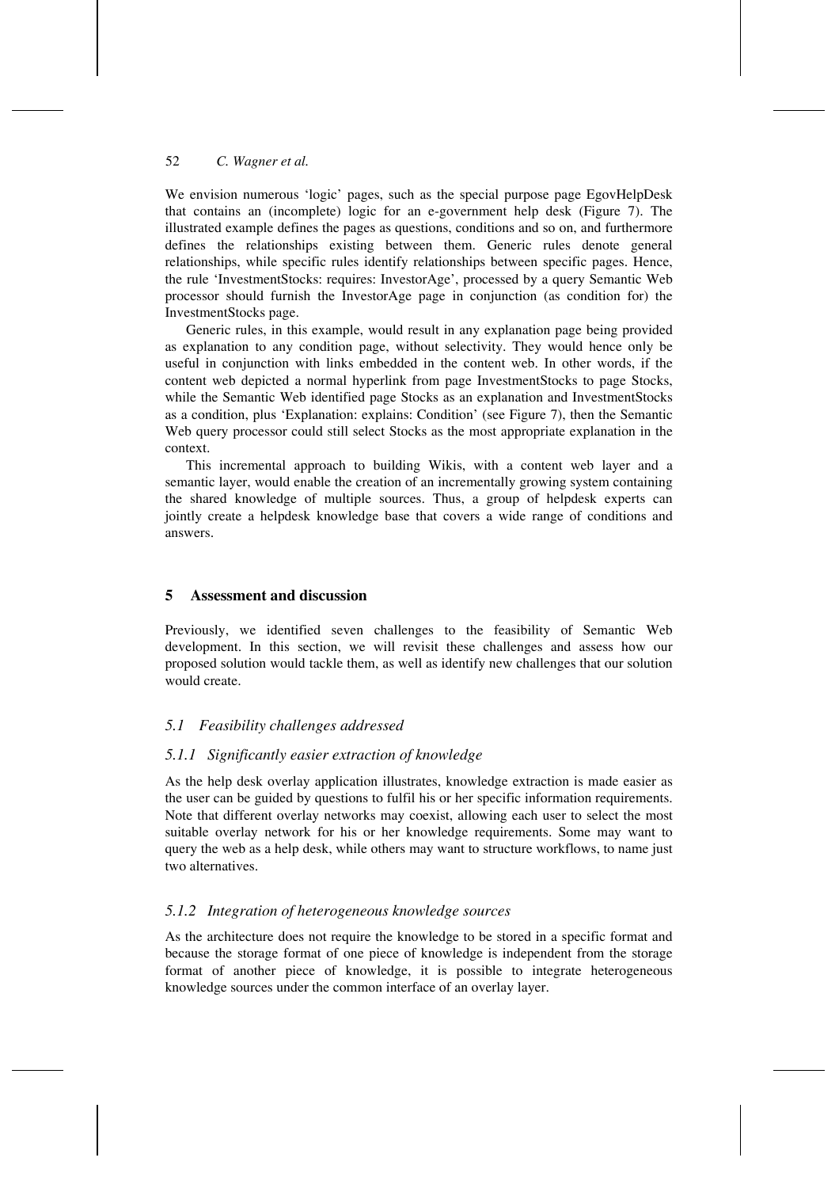We envision numerous 'logic' pages, such as the special purpose page EgovHelpDesk that contains an (incomplete) logic for an e-government help desk (Figure 7). The illustrated example defines the pages as questions, conditions and so on, and furthermore defines the relationships existing between them. Generic rules denote general relationships, while specific rules identify relationships between specific pages. Hence, the rule 'InvestmentStocks: requires: InvestorAge', processed by a query Semantic Web processor should furnish the InvestorAge page in conjunction (as condition for) the InvestmentStocks page.

Generic rules, in this example, would result in any explanation page being provided as explanation to any condition page, without selectivity. They would hence only be useful in conjunction with links embedded in the content web. In other words, if the content web depicted a normal hyperlink from page InvestmentStocks to page Stocks, while the Semantic Web identified page Stocks as an explanation and InvestmentStocks as a condition, plus 'Explanation: explains: Condition' (see Figure 7), then the Semantic Web query processor could still select Stocks as the most appropriate explanation in the context.

This incremental approach to building Wikis, with a content web layer and a semantic layer, would enable the creation of an incrementally growing system containing the shared knowledge of multiple sources. Thus, a group of helpdesk experts can jointly create a helpdesk knowledge base that covers a wide range of conditions and answers.

# **5 Assessment and discussion**

Previously, we identified seven challenges to the feasibility of Semantic Web development. In this section, we will revisit these challenges and assess how our proposed solution would tackle them, as well as identify new challenges that our solution would create.

## *5.1 Feasibility challenges addressed*

#### *5.1.1 Significantly easier extraction of knowledge*

As the help desk overlay application illustrates, knowledge extraction is made easier as the user can be guided by questions to fulfil his or her specific information requirements. Note that different overlay networks may coexist, allowing each user to select the most suitable overlay network for his or her knowledge requirements. Some may want to query the web as a help desk, while others may want to structure workflows, to name just two alternatives.

## *5.1.2 Integration of heterogeneous knowledge sources*

As the architecture does not require the knowledge to be stored in a specific format and because the storage format of one piece of knowledge is independent from the storage format of another piece of knowledge, it is possible to integrate heterogeneous knowledge sources under the common interface of an overlay layer.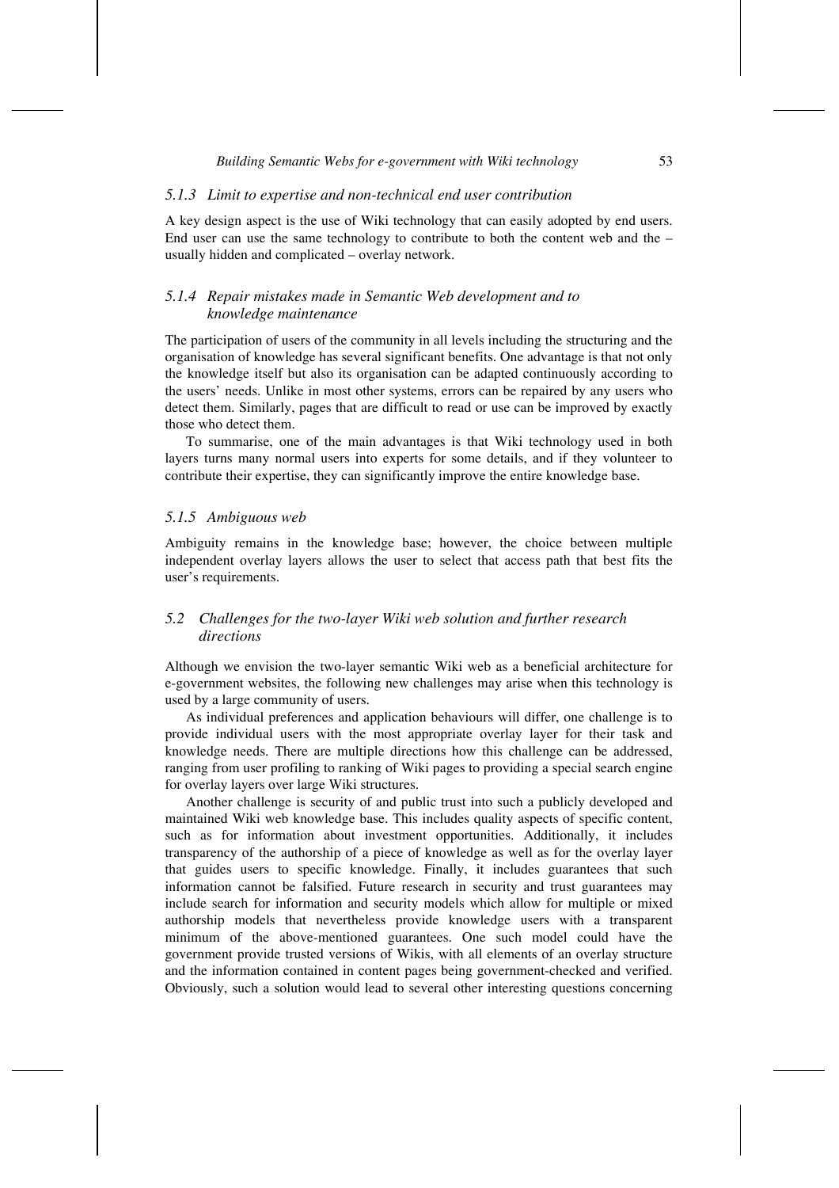#### *5.1.3 Limit to expertise and non-technical end user contribution*

A key design aspect is the use of Wiki technology that can easily adopted by end users. End user can use the same technology to contribute to both the content web and the – usually hidden and complicated – overlay network.

## *5.1.4 Repair mistakes made in Semantic Web development and to knowledge maintenance*

The participation of users of the community in all levels including the structuring and the organisation of knowledge has several significant benefits. One advantage is that not only the knowledge itself but also its organisation can be adapted continuously according to the users' needs. Unlike in most other systems, errors can be repaired by any users who detect them. Similarly, pages that are difficult to read or use can be improved by exactly those who detect them.

To summarise, one of the main advantages is that Wiki technology used in both layers turns many normal users into experts for some details, and if they volunteer to contribute their expertise, they can significantly improve the entire knowledge base.

#### *5.1.5 Ambiguous web*

Ambiguity remains in the knowledge base; however, the choice between multiple independent overlay layers allows the user to select that access path that best fits the user's requirements.

## *5.2 Challenges for the two-layer Wiki web solution and further research directions*

Although we envision the two-layer semantic Wiki web as a beneficial architecture for e-government websites, the following new challenges may arise when this technology is used by a large community of users.

As individual preferences and application behaviours will differ, one challenge is to provide individual users with the most appropriate overlay layer for their task and knowledge needs. There are multiple directions how this challenge can be addressed, ranging from user profiling to ranking of Wiki pages to providing a special search engine for overlay layers over large Wiki structures.

Another challenge is security of and public trust into such a publicly developed and maintained Wiki web knowledge base. This includes quality aspects of specific content, such as for information about investment opportunities. Additionally, it includes transparency of the authorship of a piece of knowledge as well as for the overlay layer that guides users to specific knowledge. Finally, it includes guarantees that such information cannot be falsified. Future research in security and trust guarantees may include search for information and security models which allow for multiple or mixed authorship models that nevertheless provide knowledge users with a transparent minimum of the above-mentioned guarantees. One such model could have the government provide trusted versions of Wikis, with all elements of an overlay structure and the information contained in content pages being government-checked and verified. Obviously, such a solution would lead to several other interesting questions concerning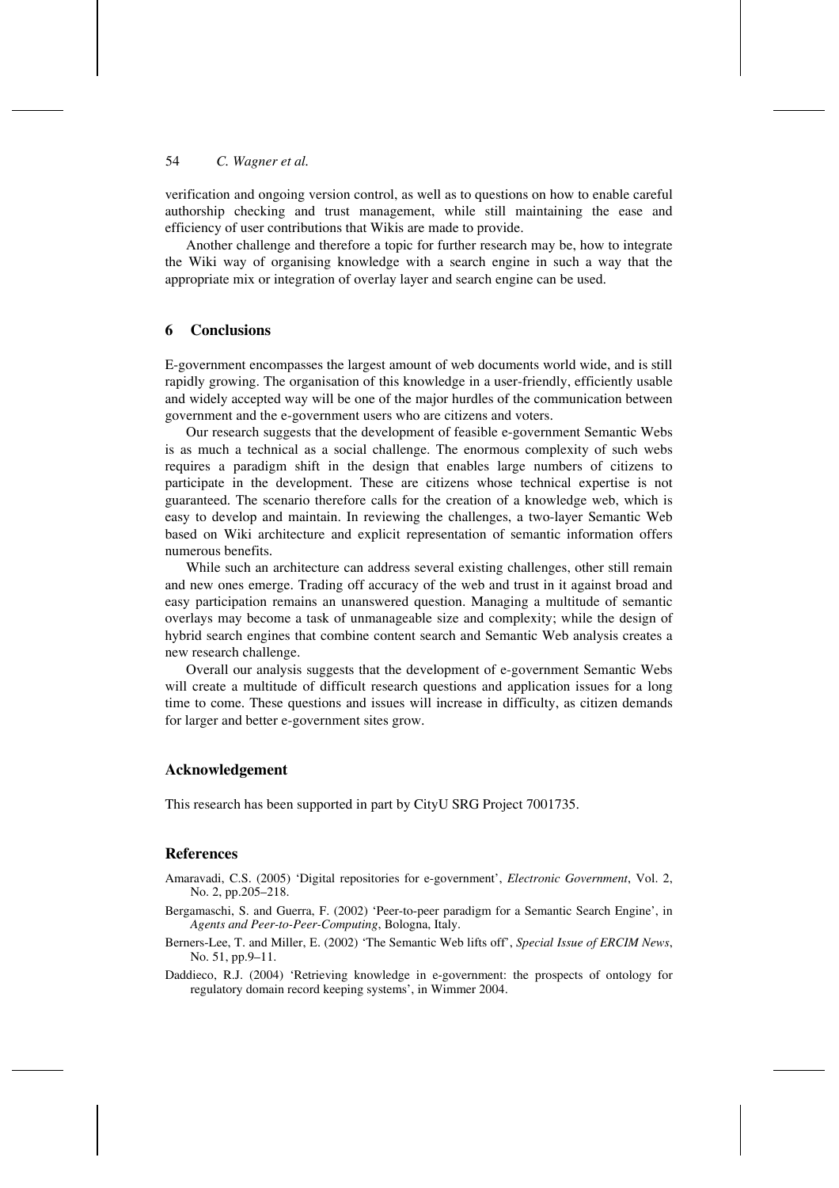verification and ongoing version control, as well as to questions on how to enable careful authorship checking and trust management, while still maintaining the ease and efficiency of user contributions that Wikis are made to provide.

Another challenge and therefore a topic for further research may be, how to integrate the Wiki way of organising knowledge with a search engine in such a way that the appropriate mix or integration of overlay layer and search engine can be used.

# **6 Conclusions**

E-government encompasses the largest amount of web documents world wide, and is still rapidly growing. The organisation of this knowledge in a user-friendly, efficiently usable and widely accepted way will be one of the major hurdles of the communication between government and the e-government users who are citizens and voters.

Our research suggests that the development of feasible e-government Semantic Webs is as much a technical as a social challenge. The enormous complexity of such webs requires a paradigm shift in the design that enables large numbers of citizens to participate in the development. These are citizens whose technical expertise is not guaranteed. The scenario therefore calls for the creation of a knowledge web, which is easy to develop and maintain. In reviewing the challenges, a two-layer Semantic Web based on Wiki architecture and explicit representation of semantic information offers numerous benefits.

While such an architecture can address several existing challenges, other still remain and new ones emerge. Trading off accuracy of the web and trust in it against broad and easy participation remains an unanswered question. Managing a multitude of semantic overlays may become a task of unmanageable size and complexity; while the design of hybrid search engines that combine content search and Semantic Web analysis creates a new research challenge.

Overall our analysis suggests that the development of e-government Semantic Webs will create a multitude of difficult research questions and application issues for a long time to come. These questions and issues will increase in difficulty, as citizen demands for larger and better e-government sites grow.

### **Acknowledgement**

This research has been supported in part by CityU SRG Project 7001735.

#### **References**

Amaravadi, C.S. (2005) 'Digital repositories for e-government', *Electronic Government*, Vol. 2, No. 2, pp.205–218.

- Bergamaschi, S. and Guerra, F. (2002) 'Peer-to-peer paradigm for a Semantic Search Engine', in *Agents and Peer-to-Peer-Computing*, Bologna, Italy.
- Berners-Lee, T. and Miller, E. (2002) 'The Semantic Web lifts off', *Special Issue of ERCIM News*, No. 51, pp.9–11.
- Daddieco, R.J. (2004) 'Retrieving knowledge in e-government: the prospects of ontology for regulatory domain record keeping systems', in Wimmer 2004.